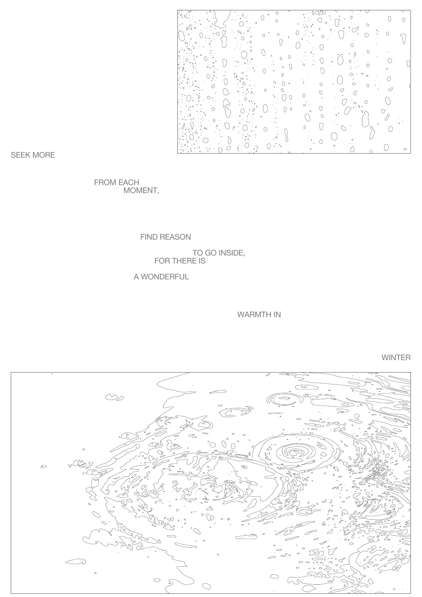

SEEK MORE

 FROM EACH MOMENT,

FIND REASON

TO GO INSIDE, FOR THERE IS

A WONDERFUL

WARMTH IN

WINTER